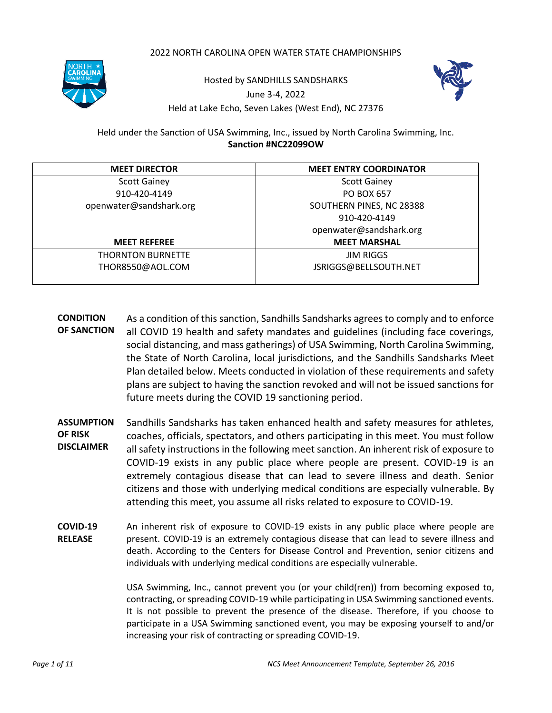### 2022 NORTH CAROLINA OPEN WATER STATE CHAMPIONSHIPS



Hosted by SANDHILLS SANDSHARKS June 3-4, 2022 Held at Lake Echo, Seven Lakes (West End), NC 27376



Held under the Sanction of USA Swimming, Inc., issued by North Carolina Swimming, Inc. **Sanction #NC22099OW**

| <b>MEET DIRECTOR</b>     | <b>MEET ENTRY COORDINATOR</b> |
|--------------------------|-------------------------------|
| <b>Scott Gainey</b>      | <b>Scott Gainey</b>           |
| 910-420-4149             | <b>PO BOX 657</b>             |
| openwater@sandshark.org  | SOUTHERN PINES, NC 28388      |
|                          | 910-420-4149                  |
|                          | openwater@sandshark.org       |
| <b>MEET REFEREE</b>      | <b>MEET MARSHAL</b>           |
| <b>THORNTON BURNETTE</b> | <b>JIM RIGGS</b>              |
| THOR8550@AOL.COM         | JSRIGGS@BELLSOUTH.NET         |

- **CONDITION OF SANCTION** As a condition of this sanction, Sandhills Sandsharks agrees to comply and to enforce all COVID 19 health and safety mandates and guidelines (including face coverings, social distancing, and mass gatherings) of USA Swimming, North Carolina Swimming, the State of North Carolina, local jurisdictions, and the Sandhills Sandsharks Meet Plan detailed below. Meets conducted in violation of these requirements and safety plans are subject to having the sanction revoked and will not be issued sanctions for future meets during the COVID 19 sanctioning period.
- **ASSUMPTION OF RISK DISCLAIMER** Sandhills Sandsharks has taken enhanced health and safety measures for athletes, coaches, officials, spectators, and others participating in this meet. You must follow all safety instructions in the following meet sanction. An inherent risk of exposure to COVID-19 exists in any public place where people are present. COVID-19 is an extremely contagious disease that can lead to severe illness and death. Senior citizens and those with underlying medical conditions are especially vulnerable. By attending this meet, you assume all risks related to exposure to COVID-19.
- **COVID-19 RELEASE** An inherent risk of exposure to COVID-19 exists in any public place where people are present. COVID-19 is an extremely contagious disease that can lead to severe illness and death. According to the Centers for Disease Control and Prevention, senior citizens and individuals with underlying medical conditions are especially vulnerable.

USA Swimming, Inc., cannot prevent you (or your child(ren)) from becoming exposed to, contracting, or spreading COVID-19 while participating in USA Swimming sanctioned events. It is not possible to prevent the presence of the disease. Therefore, if you choose to participate in a USA Swimming sanctioned event, you may be exposing yourself to and/or increasing your risk of contracting or spreading COVID-19.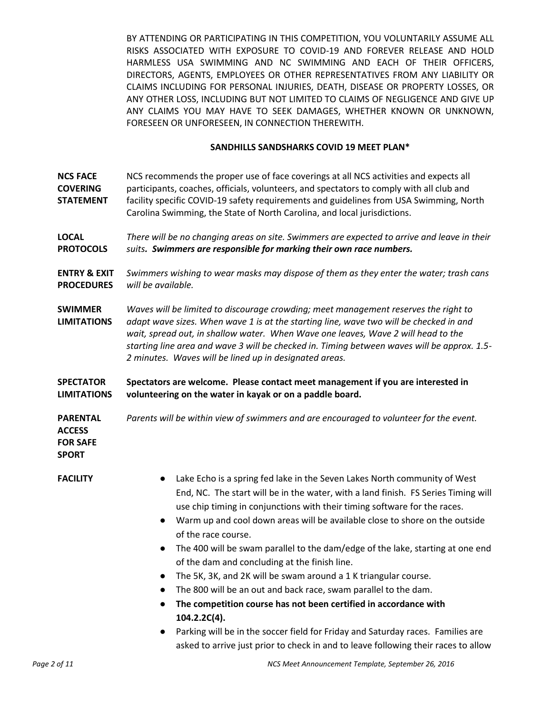BY ATTENDING OR PARTICIPATING IN THIS COMPETITION, YOU VOLUNTARILY ASSUME ALL RISKS ASSOCIATED WITH EXPOSURE TO COVID-19 AND FOREVER RELEASE AND HOLD HARMLESS USA SWIMMING AND NC SWIMMING AND EACH OF THEIR OFFICERS, DIRECTORS, AGENTS, EMPLOYEES OR OTHER REPRESENTATIVES FROM ANY LIABILITY OR CLAIMS INCLUDING FOR PERSONAL INJURIES, DEATH, DISEASE OR PROPERTY LOSSES, OR ANY OTHER LOSS, INCLUDING BUT NOT LIMITED TO CLAIMS OF NEGLIGENCE AND GIVE UP ANY CLAIMS YOU MAY HAVE TO SEEK DAMAGES, WHETHER KNOWN OR UNKNOWN, FORESEEN OR UNFORESEEN, IN CONNECTION THEREWITH.

### **SANDHILLS SANDSHARKS COVID 19 MEET PLAN\***

| <b>NCS FACE</b><br><b>COVERING</b><br><b>STATEMENT</b>              | NCS recommends the proper use of face coverings at all NCS activities and expects all<br>participants, coaches, officials, volunteers, and spectators to comply with all club and<br>facility specific COVID-19 safety requirements and guidelines from USA Swimming, North<br>Carolina Swimming, the State of North Carolina, and local jurisdictions.                                                                                                                                                                                                                                                                                                                                                                                                                                                                      |
|---------------------------------------------------------------------|------------------------------------------------------------------------------------------------------------------------------------------------------------------------------------------------------------------------------------------------------------------------------------------------------------------------------------------------------------------------------------------------------------------------------------------------------------------------------------------------------------------------------------------------------------------------------------------------------------------------------------------------------------------------------------------------------------------------------------------------------------------------------------------------------------------------------|
| <b>LOCAL</b><br><b>PROTOCOLS</b>                                    | There will be no changing areas on site. Swimmers are expected to arrive and leave in their<br>suits. Swimmers are responsible for marking their own race numbers.                                                                                                                                                                                                                                                                                                                                                                                                                                                                                                                                                                                                                                                           |
| <b>ENTRY &amp; EXIT</b><br><b>PROCEDURES</b>                        | Swimmers wishing to wear masks may dispose of them as they enter the water; trash cans<br>will be available.                                                                                                                                                                                                                                                                                                                                                                                                                                                                                                                                                                                                                                                                                                                 |
| <b>SWIMMER</b><br><b>LIMITATIONS</b>                                | Waves will be limited to discourage crowding; meet management reserves the right to<br>adapt wave sizes. When wave 1 is at the starting line, wave two will be checked in and<br>wait, spread out, in shallow water. When Wave one leaves, Wave 2 will head to the<br>starting line area and wave 3 will be checked in. Timing between waves will be approx. 1.5-<br>2 minutes. Waves will be lined up in designated areas.                                                                                                                                                                                                                                                                                                                                                                                                  |
| <b>SPECTATOR</b><br><b>LIMITATIONS</b>                              | Spectators are welcome. Please contact meet management if you are interested in<br>volunteering on the water in kayak or on a paddle board.                                                                                                                                                                                                                                                                                                                                                                                                                                                                                                                                                                                                                                                                                  |
| <b>PARENTAL</b><br><b>ACCESS</b><br><b>FOR SAFE</b><br><b>SPORT</b> | Parents will be within view of swimmers and are encouraged to volunteer for the event.                                                                                                                                                                                                                                                                                                                                                                                                                                                                                                                                                                                                                                                                                                                                       |
| <b>FACILITY</b>                                                     | Lake Echo is a spring fed lake in the Seven Lakes North community of West<br>End, NC. The start will be in the water, with a land finish. FS Series Timing will<br>use chip timing in conjunctions with their timing software for the races.<br>Warm up and cool down areas will be available close to shore on the outside<br>$\bullet$<br>of the race course.<br>The 400 will be swam parallel to the dam/edge of the lake, starting at one end<br>$\bullet$<br>of the dam and concluding at the finish line.<br>The 5K, 3K, and 2K will be swam around a 1 K triangular course.<br>The 800 will be an out and back race, swam parallel to the dam.<br>The competition course has not been certified in accordance with<br>104.2.2C(4).<br>Parking will be in the soccer field for Friday and Saturday races. Families are |
|                                                                     | asked to arrive just prior to check in and to leave following their races to allow                                                                                                                                                                                                                                                                                                                                                                                                                                                                                                                                                                                                                                                                                                                                           |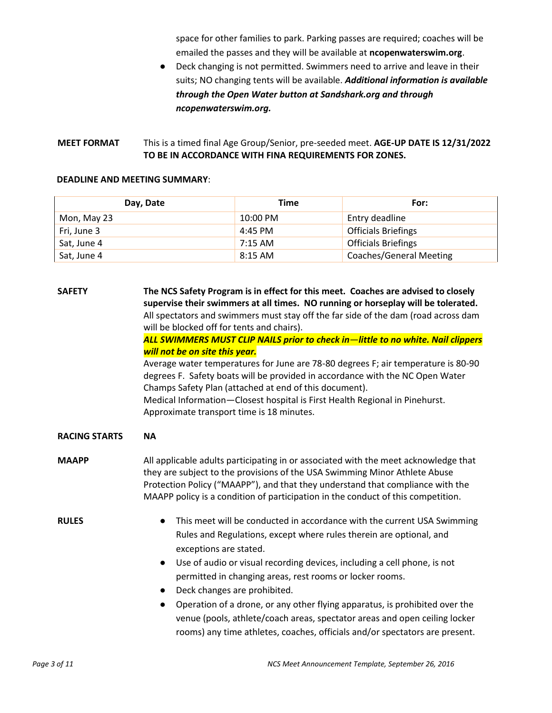space for other families to park. Parking passes are required; coaches will be emailed the passes and they will be available at **ncopenwaterswim.org**.

● Deck changing is not permitted. Swimmers need to arrive and leave in their suits; NO changing tents will be available. *Additional information is available through the Open Water button at Sandshark.org and through ncopenwaterswim.org.*

## **MEET FORMAT** This is a timed final Age Group/Senior, pre-seeded meet. **AGE-UP DATE IS 12/31/2022 TO BE IN ACCORDANCE WITH FINA REQUIREMENTS FOR ZONES.**

### **DEADLINE AND MEETING SUMMARY**:

| Day, Date   | Time              | For:                           |
|-------------|-------------------|--------------------------------|
| Mon, May 23 | 10:00 PM          | Entry deadline                 |
| Fri, June 3 | 4:45 PM           | <b>Officials Briefings</b>     |
| Sat, June 4 | $7:15 \text{ AM}$ | <b>Officials Briefings</b>     |
| Sat, June 4 | $8:15$ AM         | <b>Coaches/General Meeting</b> |

| <b>SAFETY</b>        | The NCS Safety Program is in effect for this meet. Coaches are advised to closely                                                                                                                                                                                                                                                       |  |  |  |  |  |
|----------------------|-----------------------------------------------------------------------------------------------------------------------------------------------------------------------------------------------------------------------------------------------------------------------------------------------------------------------------------------|--|--|--|--|--|
|                      | supervise their swimmers at all times. NO running or horseplay will be tolerated.                                                                                                                                                                                                                                                       |  |  |  |  |  |
|                      | All spectators and swimmers must stay off the far side of the dam (road across dam                                                                                                                                                                                                                                                      |  |  |  |  |  |
|                      | will be blocked off for tents and chairs).                                                                                                                                                                                                                                                                                              |  |  |  |  |  |
|                      | ALL SWIMMERS MUST CLIP NAILS prior to check in—little to no white. Nail clippers                                                                                                                                                                                                                                                        |  |  |  |  |  |
|                      | will not be on site this year.                                                                                                                                                                                                                                                                                                          |  |  |  |  |  |
|                      | Average water temperatures for June are 78-80 degrees F; air temperature is 80-90<br>degrees F. Safety boats will be provided in accordance with the NC Open Water<br>Champs Safety Plan (attached at end of this document).<br>Medical Information-Closest hospital is First Health Regional in Pinehurst.                             |  |  |  |  |  |
|                      | Approximate transport time is 18 minutes.                                                                                                                                                                                                                                                                                               |  |  |  |  |  |
| <b>RACING STARTS</b> | <b>NA</b>                                                                                                                                                                                                                                                                                                                               |  |  |  |  |  |
| <b>MAAPP</b>         | All applicable adults participating in or associated with the meet acknowledge that<br>they are subject to the provisions of the USA Swimming Minor Athlete Abuse<br>Protection Policy ("MAAPP"), and that they understand that compliance with the<br>MAAPP policy is a condition of participation in the conduct of this competition. |  |  |  |  |  |
| <b>RULES</b>         | This meet will be conducted in accordance with the current USA Swimming<br>$\bullet$<br>Rules and Regulations, except where rules therein are optional, and<br>exceptions are stated.<br>Use of audio or visual recording devices, including a cell phone, is not<br>$\bullet$                                                          |  |  |  |  |  |
|                      | permitted in changing areas, rest rooms or locker rooms.                                                                                                                                                                                                                                                                                |  |  |  |  |  |
|                      | Deck changes are prohibited.                                                                                                                                                                                                                                                                                                            |  |  |  |  |  |
|                      | Operation of a drone, or any other flying apparatus, is prohibited over the                                                                                                                                                                                                                                                             |  |  |  |  |  |
|                      | venue (pools, athlete/coach areas, spectator areas and open ceiling locker                                                                                                                                                                                                                                                              |  |  |  |  |  |
|                      | rooms) any time athletes, coaches, officials and/or spectators are present.                                                                                                                                                                                                                                                             |  |  |  |  |  |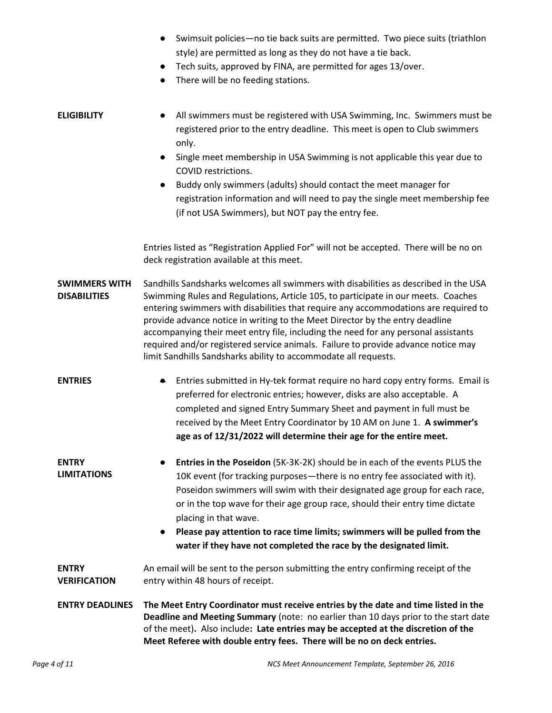| • Swimsuit policies—no tie back suits are permitted. Two piece suits (triathlon |
|---------------------------------------------------------------------------------|
| style) are permitted as long as they do not have a tie back.                    |

- Tech suits, approved by FINA, are permitted for ages 13/over.
- There will be no feeding stations.

# **ELIGIBILITY** ● All swimmers must be registered with USA Swimming, Inc. Swimmers must be registered prior to the entry deadline. This meet is open to Club swimmers only.

- Single meet membership in USA Swimming is not applicable this year due to COVID restrictions.
- Buddy only swimmers (adults) should contact the meet manager for registration information and will need to pay the single meet membership fee (if not USA Swimmers), but NOT pay the entry fee.

Entries listed as "Registration Applied For" will not be accepted. There will be no on deck registration available at this meet.

- **SWIMMERS WITH DISABILITIES** Sandhills Sandsharks welcomes all swimmers with disabilities as described in the USA Swimming Rules and Regulations, Article 105, to participate in our meets. Coaches entering swimmers with disabilities that require any accommodations are required to provide advance notice in writing to the Meet Director by the entry deadline accompanying their meet entry file, including the need for any personal assistants required and/or registered service animals. Failure to provide advance notice may limit Sandhills Sandsharks ability to accommodate all requests.
- **ENTRIES •** Entries submitted in Hy-tek format require no hard copy entry forms. Email is preferred for electronic entries; however, disks are also acceptable. A completed and signed Entry Summary Sheet and payment in full must be received by the Meet Entry Coordinator by 10 AM on June 1. **A swimmer's age as of 12/31/2022 will determine their age for the entire meet.**
- **ENTRY LIMITATIONS** ● **Entries in the Poseidon** (5K-3K-2K) should be in each of the events PLUS the 10K event (for tracking purposes—there is no entry fee associated with it). Poseidon swimmers will swim with their designated age group for each race, or in the top wave for their age group race, should their entry time dictate placing in that wave.
	- **Please pay attention to race time limits; swimmers will be pulled from the water if they have not completed the race by the designated limit.**
- **ENTRY VERIFICATION** An email will be sent to the person submitting the entry confirming receipt of the entry within 48 hours of receipt.
- **ENTRY DEADLINES The Meet Entry Coordinator must receive entries by the date and time listed in the Deadline and Meeting Summary** (note: no earlier than 10 days prior to the start date of the meet)**.** Also include**: Late entries may be accepted at the discretion of the Meet Referee with double entry fees. There will be no on deck entries.**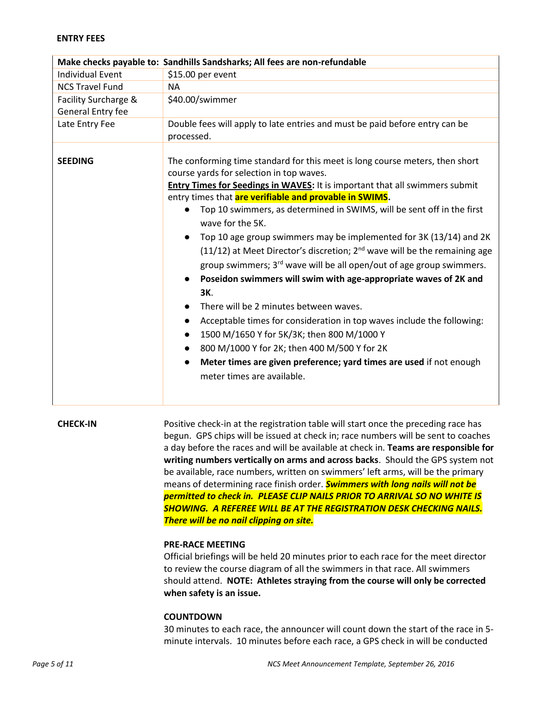### **ENTRY FEES**

|                         | Make checks payable to: Sandhills Sandsharks; All fees are non-refundable                                                                                                                                                                                                                                                                                                                                                                                                                                                                                                                                                                                                                                                                                                                                                                                                                                                                                                                                                                                                                                              |
|-------------------------|------------------------------------------------------------------------------------------------------------------------------------------------------------------------------------------------------------------------------------------------------------------------------------------------------------------------------------------------------------------------------------------------------------------------------------------------------------------------------------------------------------------------------------------------------------------------------------------------------------------------------------------------------------------------------------------------------------------------------------------------------------------------------------------------------------------------------------------------------------------------------------------------------------------------------------------------------------------------------------------------------------------------------------------------------------------------------------------------------------------------|
| <b>Individual Event</b> | \$15.00 per event                                                                                                                                                                                                                                                                                                                                                                                                                                                                                                                                                                                                                                                                                                                                                                                                                                                                                                                                                                                                                                                                                                      |
| <b>NCS Travel Fund</b>  | <b>NA</b>                                                                                                                                                                                                                                                                                                                                                                                                                                                                                                                                                                                                                                                                                                                                                                                                                                                                                                                                                                                                                                                                                                              |
| Facility Surcharge &    | \$40.00/swimmer                                                                                                                                                                                                                                                                                                                                                                                                                                                                                                                                                                                                                                                                                                                                                                                                                                                                                                                                                                                                                                                                                                        |
| General Entry fee       |                                                                                                                                                                                                                                                                                                                                                                                                                                                                                                                                                                                                                                                                                                                                                                                                                                                                                                                                                                                                                                                                                                                        |
| Late Entry Fee          | Double fees will apply to late entries and must be paid before entry can be                                                                                                                                                                                                                                                                                                                                                                                                                                                                                                                                                                                                                                                                                                                                                                                                                                                                                                                                                                                                                                            |
|                         | processed.                                                                                                                                                                                                                                                                                                                                                                                                                                                                                                                                                                                                                                                                                                                                                                                                                                                                                                                                                                                                                                                                                                             |
| <b>SEEDING</b>          | The conforming time standard for this meet is long course meters, then short<br>course yards for selection in top waves.<br><b>Entry Times for Seedings in WAVES:</b> It is important that all swimmers submit<br>entry times that are verifiable and provable in SWIMS.<br>Top 10 swimmers, as determined in SWIMS, will be sent off in the first<br>wave for the 5K.<br>Top 10 age group swimmers may be implemented for 3K (13/14) and 2K<br>$\bullet$<br>(11/12) at Meet Director's discretion; 2 <sup>nd</sup> wave will be the remaining age<br>group swimmers; 3 <sup>rd</sup> wave will be all open/out of age group swimmers.<br>Poseidon swimmers will swim with age-appropriate waves of 2K and<br>$\bullet$<br>3K.<br>There will be 2 minutes between waves.<br>$\bullet$<br>Acceptable times for consideration in top waves include the following:<br>$\bullet$<br>1500 M/1650 Y for 5K/3K; then 800 M/1000 Y<br>$\bullet$<br>800 M/1000 Y for 2K; then 400 M/500 Y for 2K<br>$\bullet$<br>Meter times are given preference; yard times are used if not enough<br>$\bullet$<br>meter times are available. |

**CHECK-IN** Positive check-in at the registration table will start once the preceding race has begun. GPS chips will be issued at check in; race numbers will be sent to coaches a day before the races and will be available at check in. **Teams are responsible for writing numbers vertically on arms and across backs**. Should the GPS system not be available, race numbers, written on swimmers' left arms, will be the primary means of determining race finish order. *Swimmers with long nails will not be permitted to check in. PLEASE CLIP NAILS PRIOR TO ARRIVAL SO NO WHITE IS SHOWING. A REFEREE WILL BE AT THE REGISTRATION DESK CHECKING NAILS. There will be no nail clipping on site.*

### **PRE-RACE MEETING**

Official briefings will be held 20 minutes prior to each race for the meet director to review the course diagram of all the swimmers in that race. All swimmers should attend. **NOTE: Athletes straying from the course will only be corrected when safety is an issue.**

### **COUNTDOWN**

30 minutes to each race, the announcer will count down the start of the race in 5 minute intervals. 10 minutes before each race, a GPS check in will be conducted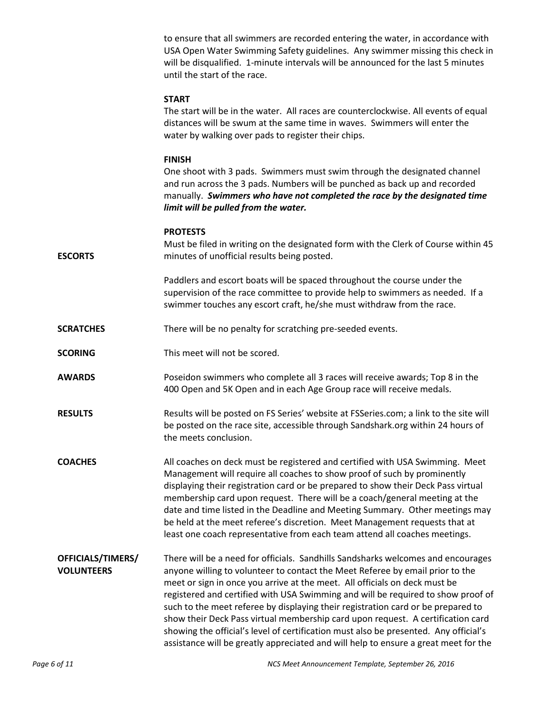to ensure that all swimmers are recorded entering the water, in accordance with USA Open Water Swimming Safety guidelines. Any swimmer missing this check in will be disqualified. 1-minute intervals will be announced for the last 5 minutes until the start of the race.

### **START**

The start will be in the water. All races are counterclockwise. All events of equal distances will be swum at the same time in waves. Swimmers will enter the water by walking over pads to register their chips.

### **FINISH**

One shoot with 3 pads. Swimmers must swim through the designated channel and run across the 3 pads. Numbers will be punched as back up and recorded manually. *Swimmers who have not completed the race by the designated time limit will be pulled from the water.*

### **PROTESTS**

**ESCORTS** Must be filed in writing on the designated form with the Clerk of Course within 45 minutes of unofficial results being posted.

> Paddlers and escort boats will be spaced throughout the course under the supervision of the race committee to provide help to swimmers as needed. If a swimmer touches any escort craft, he/she must withdraw from the race.

- **SCRATCHES** There will be no penalty for scratching pre-seeded events.
- **SCORING** This meet will not be scored.

**AWARDS** Poseidon swimmers who complete all 3 races will receive awards; Top 8 in the 400 Open and 5K Open and in each Age Group race will receive medals.

**RESULTS** Results will be posted on FS Series' website at FSSeries.com; a link to the site will be posted on the race site, accessible through Sandshark.org within 24 hours of the meets conclusion.

- **COACHES** All coaches on deck must be registered and certified with USA Swimming. Meet Management will require all coaches to show proof of such by prominently displaying their registration card or be prepared to show their Deck Pass virtual membership card upon request. There will be a coach/general meeting at the date and time listed in the Deadline and Meeting Summary. Other meetings may be held at the meet referee's discretion. Meet Management requests that at least one coach representative from each team attend all coaches meetings.
- **OFFICIALS/TIMERS/ VOLUNTEERS** There will be a need for officials. Sandhills Sandsharks welcomes and encourages anyone willing to volunteer to contact the Meet Referee by email prior to the meet or sign in once you arrive at the meet. All officials on deck must be registered and certified with USA Swimming and will be required to show proof of such to the meet referee by displaying their registration card or be prepared to show their Deck Pass virtual membership card upon request. A certification card showing the official's level of certification must also be presented. Any official's assistance will be greatly appreciated and will help to ensure a great meet for the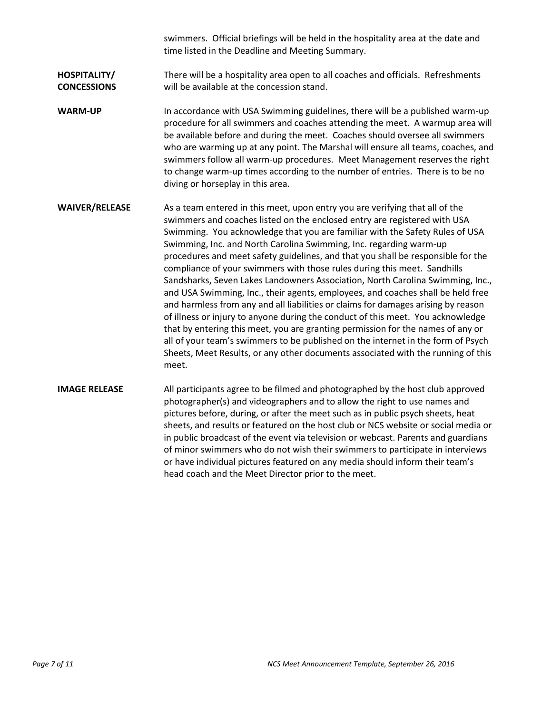swimmers. Official briefings will be held in the hospitality area at the date and time listed in the Deadline and Meeting Summary.

### **HOSPITALITY/ CONCESSIONS** There will be a hospitality area open to all coaches and officials. Refreshments will be available at the concession stand.

- **WARM-UP** In accordance with USA Swimming guidelines, there will be a published warm-up procedure for all swimmers and coaches attending the meet. A warmup area will be available before and during the meet. Coaches should oversee all swimmers who are warming up at any point. The Marshal will ensure all teams, coaches, and swimmers follow all warm-up procedures. Meet Management reserves the right to change warm-up times according to the number of entries. There is to be no diving or horseplay in this area.
- **WAIVER/RELEASE** As a team entered in this meet, upon entry you are verifying that all of the swimmers and coaches listed on the enclosed entry are registered with USA Swimming. You acknowledge that you are familiar with the Safety Rules of USA Swimming, Inc. and North Carolina Swimming, Inc. regarding warm-up procedures and meet safety guidelines, and that you shall be responsible for the compliance of your swimmers with those rules during this meet. Sandhills Sandsharks, Seven Lakes Landowners Association, North Carolina Swimming, Inc., and USA Swimming, Inc., their agents, employees, and coaches shall be held free and harmless from any and all liabilities or claims for damages arising by reason of illness or injury to anyone during the conduct of this meet. You acknowledge that by entering this meet, you are granting permission for the names of any or all of your team's swimmers to be published on the internet in the form of Psych Sheets, Meet Results, or any other documents associated with the running of this meet.

**IMAGE RELEASE** All participants agree to be filmed and photographed by the host club approved photographer(s) and videographers and to allow the right to use names and pictures before, during, or after the meet such as in public psych sheets, heat sheets, and results or featured on the host club or NCS website or social media or in public broadcast of the event via television or webcast. Parents and guardians of minor swimmers who do not wish their swimmers to participate in interviews or have individual pictures featured on any media should inform their team's head coach and the Meet Director prior to the meet.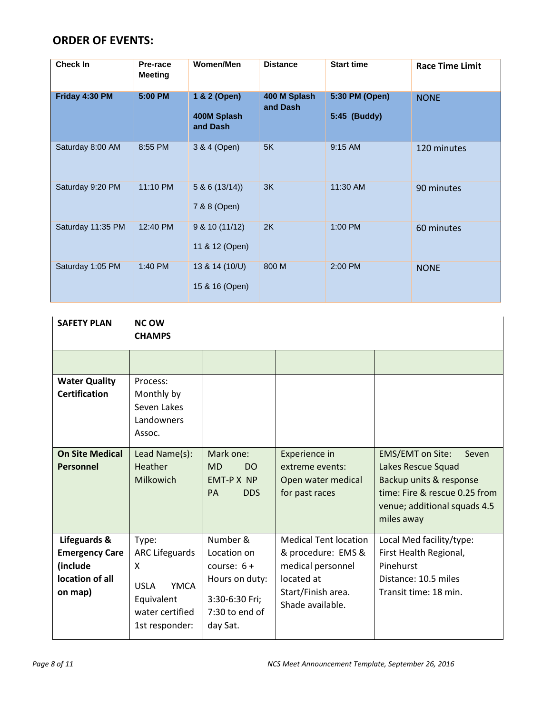# **ORDER OF EVENTS:**

| Check In          | Pre-race<br><b>Meeting</b> | Women/Men                               | <b>Distance</b>          | <b>Start time</b>              | <b>Race Time Limit</b> |
|-------------------|----------------------------|-----------------------------------------|--------------------------|--------------------------------|------------------------|
| Friday 4:30 PM    | 5:00 PM                    | 1 & 2 (Open)<br>400M Splash<br>and Dash | 400 M Splash<br>and Dash | 5:30 PM (Open)<br>5:45 (Buddy) | <b>NONE</b>            |
| Saturday 8:00 AM  | 8:55 PM                    | 3 & 4 (Open)                            | 5K                       | 9:15 AM                        | 120 minutes            |
| Saturday 9:20 PM  | 11:10 PM                   | 5 & 6(13/14)<br>7 & 8 (Open)            | 3K                       | 11:30 AM                       | 90 minutes             |
| Saturday 11:35 PM | 12:40 PM                   | 9 & 10 (11/12)<br>11 & 12 (Open)        | 2K                       | 1:00 PM                        | 60 minutes             |
| Saturday 1:05 PM  | 1:40 PM                    | 13 & 14 (10/U)<br>15 & 16 (Open)        | 800 M                    | 2:00 PM                        | <b>NONE</b>            |

| <b>SAFETY PLAN</b>                                                              | <b>NC OW</b><br><b>CHAMPS</b>                                                                                        |                                                                                                            |                                                                                                                                 |                                                                                                                                                                  |
|---------------------------------------------------------------------------------|----------------------------------------------------------------------------------------------------------------------|------------------------------------------------------------------------------------------------------------|---------------------------------------------------------------------------------------------------------------------------------|------------------------------------------------------------------------------------------------------------------------------------------------------------------|
|                                                                                 |                                                                                                                      |                                                                                                            |                                                                                                                                 |                                                                                                                                                                  |
| <b>Water Quality</b><br><b>Certification</b>                                    | Process:<br>Monthly by<br>Seven Lakes<br>Landowners<br>Assoc.                                                        |                                                                                                            |                                                                                                                                 |                                                                                                                                                                  |
| <b>On Site Medical</b><br>Personnel                                             | Lead Name(s):<br>Heather<br>Milkowich                                                                                | Mark one:<br><b>MD</b><br>DO<br><b>EMT-P X NP</b><br><b>DDS</b><br><b>PA</b>                               | Experience in<br>extreme events:<br>Open water medical<br>for past races                                                        | <b>EMS/EMT</b> on Site:<br>Seven<br>Lakes Rescue Squad<br>Backup units & response<br>time: Fire & rescue 0.25 from<br>venue; additional squads 4.5<br>miles away |
| Lifeguards &<br><b>Emergency Care</b><br>(include<br>location of all<br>on map) | Type:<br><b>ARC Lifeguards</b><br>X<br><b>YMCA</b><br><b>USLA</b><br>Equivalent<br>water certified<br>1st responder: | Number &<br>Location on<br>course: $6 +$<br>Hours on duty:<br>3:30-6:30 Fri;<br>7:30 to end of<br>day Sat. | <b>Medical Tent location</b><br>& procedure: EMS &<br>medical personnel<br>located at<br>Start/Finish area.<br>Shade available. | Local Med facility/type:<br>First Health Regional,<br>Pinehurst<br>Distance: 10.5 miles<br>Transit time: 18 min.                                                 |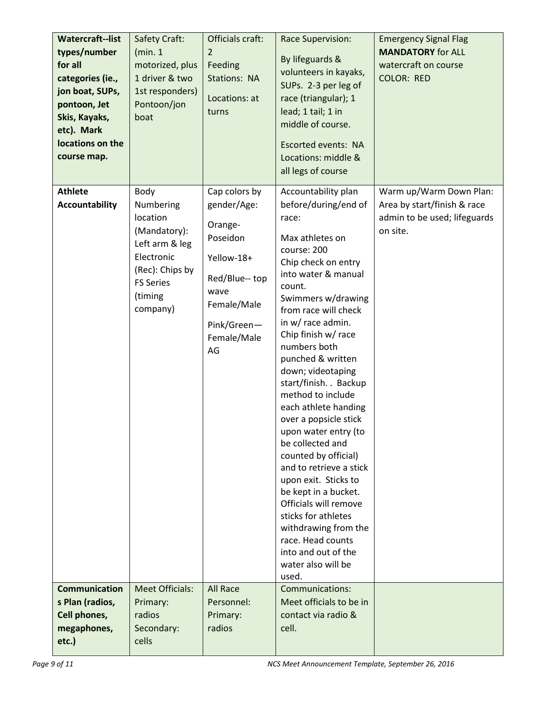| <b>Watercraft--list</b><br>types/number<br>for all<br>categories (ie.,<br>jon boat, SUPs,<br>pontoon, Jet<br>Skis, Kayaks,<br>etc). Mark<br>locations on the<br>course map. | Safety Craft:<br>(min.1<br>motorized, plus<br>1 driver & two<br>1st responders)<br>Pontoon/jon<br>boat                                      | Officials craft:<br>2<br>Feeding<br><b>Stations: NA</b><br>Locations: at<br>turns                                                              | <b>Race Supervision:</b><br>By lifeguards &<br>volunteers in kayaks,<br>SUPs. 2-3 per leg of<br>race (triangular); 1<br>lead; 1 tail; 1 in<br>middle of course.<br><b>Escorted events: NA</b><br>Locations: middle &<br>all legs of course                                                                                                                                                                                                                                                                                                                                                                                                                                                           | <b>Emergency Signal Flag</b><br><b>MANDATORY</b> for ALL<br>watercraft on course<br><b>COLOR: RED</b> |
|-----------------------------------------------------------------------------------------------------------------------------------------------------------------------------|---------------------------------------------------------------------------------------------------------------------------------------------|------------------------------------------------------------------------------------------------------------------------------------------------|------------------------------------------------------------------------------------------------------------------------------------------------------------------------------------------------------------------------------------------------------------------------------------------------------------------------------------------------------------------------------------------------------------------------------------------------------------------------------------------------------------------------------------------------------------------------------------------------------------------------------------------------------------------------------------------------------|-------------------------------------------------------------------------------------------------------|
| <b>Athlete</b><br>Accountability                                                                                                                                            | Body<br>Numbering<br>location<br>(Mandatory):<br>Left arm & leg<br>Electronic<br>(Rec): Chips by<br><b>FS Series</b><br>(timing<br>company) | Cap colors by<br>gender/Age:<br>Orange-<br>Poseidon<br>Yellow-18+<br>Red/Blue-- top<br>wave<br>Female/Male<br>Pink/Green-<br>Female/Male<br>AG | Accountability plan<br>before/during/end of<br>race:<br>Max athletes on<br>course: 200<br>Chip check on entry<br>into water & manual<br>count.<br>Swimmers w/drawing<br>from race will check<br>in w/ race admin.<br>Chip finish w/ race<br>numbers both<br>punched & written<br>down; videotaping<br>start/finish. . Backup<br>method to include<br>each athlete handing<br>over a popsicle stick<br>upon water entry (to<br>be collected and<br>counted by official)<br>and to retrieve a stick<br>upon exit. Sticks to<br>be kept in a bucket.<br>Officials will remove<br>sticks for athletes<br>withdrawing from the<br>race. Head counts<br>into and out of the<br>water also will be<br>used. | Warm up/Warm Down Plan:<br>Area by start/finish & race<br>admin to be used; lifeguards<br>on site.    |
| <b>Communication</b><br>s Plan (radios,<br>Cell phones,<br>megaphones,<br>etc.)                                                                                             | <b>Meet Officials:</b><br>Primary:<br>radios<br>Secondary:<br>cells                                                                         | <b>All Race</b><br>Personnel:<br>Primary:<br>radios                                                                                            | Communications:<br>Meet officials to be in<br>contact via radio &<br>cell.                                                                                                                                                                                                                                                                                                                                                                                                                                                                                                                                                                                                                           |                                                                                                       |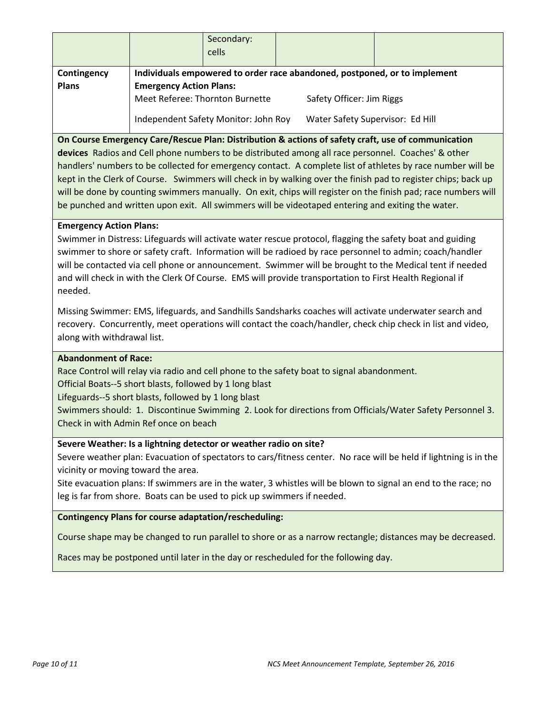|                                                                                                             |                                 | Secondary:<br>cells                  |  |                                  |                                                                           |
|-------------------------------------------------------------------------------------------------------------|---------------------------------|--------------------------------------|--|----------------------------------|---------------------------------------------------------------------------|
| Contingency                                                                                                 |                                 |                                      |  |                                  | Individuals empowered to order race abandoned, postponed, or to implement |
| <b>Plans</b>                                                                                                | <b>Emergency Action Plans:</b>  |                                      |  |                                  |                                                                           |
|                                                                                                             | Meet Referee: Thornton Burnette |                                      |  | Safety Officer: Jim Riggs        |                                                                           |
|                                                                                                             |                                 | Independent Safety Monitor: John Roy |  | Water Safety Supervisor: Ed Hill |                                                                           |
| On Course Emergency Care/Rescue Plan: Distribution & actions of safety craft, use of communication          |                                 |                                      |  |                                  |                                                                           |
| devices Radios and Cell phone numbers to be distributed among all race personnel. Coaches' & other          |                                 |                                      |  |                                  |                                                                           |
| handlers' numbers to be collected for emergency contact. A complete list of athletes by race number will be |                                 |                                      |  |                                  |                                                                           |

kept in the Clerk of Course. Swimmers will check in by walking over the finish pad to register chips; back up will be done by counting swimmers manually. On exit, chips will register on the finish pad; race numbers will be punched and written upon exit. All swimmers will be videotaped entering and exiting the water.

### **Emergency Action Plans:**

Swimmer in Distress: Lifeguards will activate water rescue protocol, flagging the safety boat and guiding swimmer to shore or safety craft. Information will be radioed by race personnel to admin; coach/handler will be contacted via cell phone or announcement. Swimmer will be brought to the Medical tent if needed and will check in with the Clerk Of Course. EMS will provide transportation to First Health Regional if needed.

Missing Swimmer: EMS, lifeguards, and Sandhills Sandsharks coaches will activate underwater search and recovery. Concurrently, meet operations will contact the coach/handler, check chip check in list and video, along with withdrawal list.

### **Abandonment of Race:**

Race Control will relay via radio and cell phone to the safety boat to signal abandonment.

Official Boats--5 short blasts, followed by 1 long blast

Lifeguards--5 short blasts, followed by 1 long blast

Swimmers should: 1. Discontinue Swimming 2. Look for directions from Officials/Water Safety Personnel 3. Check in with Admin Ref once on beach

### **Severe Weather: Is a lightning detector or weather radio on site?**

Severe weather plan: Evacuation of spectators to cars/fitness center. No race will be held if lightning is in the vicinity or moving toward the area.

Site evacuation plans: If swimmers are in the water, 3 whistles will be blown to signal an end to the race; no leg is far from shore. Boats can be used to pick up swimmers if needed.

### **Contingency Plans for course adaptation/rescheduling:**

Course shape may be changed to run parallel to shore or as a narrow rectangle; distances may be decreased.

Races may be postponed until later in the day or rescheduled for the following day.